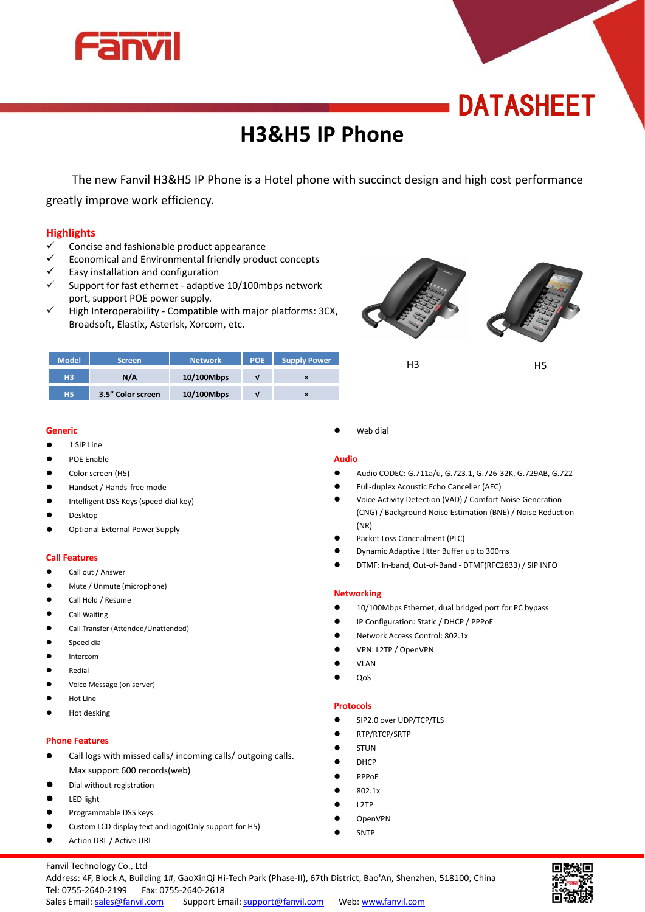

# **DATASHEET**

# **H3&H5 IP Phone**

The new Fanvil H3&H5 IP Phone is a Hotel phone with succinct design and high cost performance greatly improve work efficiency.

# **Highlights**

- $\checkmark$  Concise and fashionable product appearance
- Economical and Environmental friendly product concepts
- $\checkmark$  Easy installation and configuration
- $\checkmark$  Support for fast ethernet adaptive 10/100mbps network port, support POE power supply.
- $\checkmark$  High Interoperability Compatible with major platforms: 3CX, Broadsoft, Elastix, Asterisk, Xorcom, etc.



| <b>Model</b>   | Screen            | <b>Network</b> | POE | Supply Power              | пэ | H5 |
|----------------|-------------------|----------------|-----|---------------------------|----|----|
| H <sub>3</sub> | N/A               | 10/100Mbps     |     | $\boldsymbol{\mathsf{x}}$ |    |    |
| <b>H5</b>      | 3.5" Color screen | 10/100Mbps     |     | $\boldsymbol{\mathsf{x}}$ |    |    |

#### **Generic**

- $\bullet$  1 SIP Line
- POE Enable
- Color screen (H5)
- Handset / Hands-free mode
- Intelligent DSS Keys (speed dial key)
- Desktop
- **•** Optional External Power Supply

# **Call Features**

- **Call out / Answer**
- Mute / Unmute (microphone)
- Call Hold / Resume
- Call Waiting
- Call Transfer (Attended/Unattended)
- Speed dial
- Intercom
- Redial
- Voice Message (on server)
- Hot Line
- Hot desking

# **Phone Features**

- Call logs with missed calls/ incoming calls/ outgoing calls. Max support 600 records(web)
- Dial without registration
- LED light
- Programmable DSS keys
- Custom LCD display text and logo(Only support for H5)
- **•** Action URL / Active URI

Web dial

#### **Audio**

- Audio CODEC: G.711a/u, G.723.1, G.726-32K, G.729AB, G.722
- Full-duplex Acoustic Echo Canceller (AEC)
- Voice Activity Detection (VAD) / Comfort Noise Generation (CNG) / Background Noise Estimation (BNE) / Noise Reduction (NR)
- Packet Loss Concealment (PLC)
- Dynamic Adaptive Jitter Buffer up to 300ms
- DTMF: In-band, Out-of-Band DTMF(RFC2833) / SIP INFO

# **Networking**

- $\bullet$  10/100Mbps Ethernet, dual bridged port for PC bypass
- IP Configuration: Static / DHCP / PPPoE
- Network Access Control: 802.1x
- VPN: L2TP / OpenVPN
- **•** VLAN
- $\bullet$  QoS

#### **Protocols**

- SIP2.0 over UDP/TCP/TLS
- RTP/RTCP/SRTP
- STUN
- DHCP
- $\bullet$  PPP<sub>OE</sub>
- 802.1x
- L2TP
- OpenVPN
	- SNTP

Sales Email: sales@fanvil.com Support Email: support@fanvil.com Web: www.fanvil.com